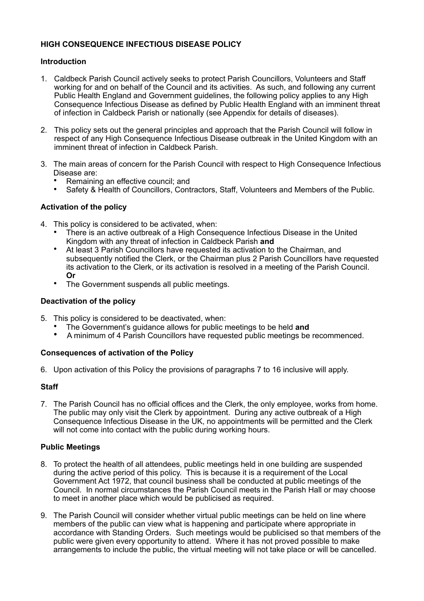### **HIGH CONSEQUENCE INFECTIOUS DISEASE POLICY**

### **Introduction**

- 1. Caldbeck Parish Council actively seeks to protect Parish Councillors, Volunteers and Staff working for and on behalf of the Council and its activities. As such, and following any current Public Health England and Government guidelines, the following policy applies to any High Consequence Infectious Disease as defined by Public Health England with an imminent threat of infection in Caldbeck Parish or nationally (see Appendix for details of diseases).
- 2. This policy sets out the general principles and approach that the Parish Council will follow in respect of any High Consequence Infectious Disease outbreak in the United Kingdom with an imminent threat of infection in Caldbeck Parish.
- 3. The main areas of concern for the Parish Council with respect to High Consequence Infectious Disease are:
	- Remaining an effective council; and
	- Safety & Health of Councillors, Contractors, Staff, Volunteers and Members of the Public.

## **Activation of the policy**

- 4. This policy is considered to be activated, when:
	- There is an active outbreak of a High Consequence Infectious Disease in the United Kingdom with any threat of infection in Caldbeck Parish **and**
	- At least 3 Parish Councillors have requested its activation to the Chairman, and subsequently notified the Clerk, or the Chairman plus 2 Parish Councillors have requested its activation to the Clerk, or its activation is resolved in a meeting of the Parish Council. **Or**
	- The Government suspends all public meetings.

### **Deactivation of the policy**

- 5. This policy is considered to be deactivated, when:
	- The Government's guidance allows for public meetings to be held **and**
	- A minimum of 4 Parish Councillors have requested public meetings be recommenced.

### **Consequences of activation of the Policy**

6. Upon activation of this Policy the provisions of paragraphs 7 to 16 inclusive will apply.

# **Staff**

7. The Parish Council has no official offices and the Clerk, the only employee, works from home. The public may only visit the Clerk by appointment. During any active outbreak of a High Consequence Infectious Disease in the UK, no appointments will be permitted and the Clerk will not come into contact with the public during working hours.

# **Public Meetings**

- 8. To protect the health of all attendees, public meetings held in one building are suspended during the active period of this policy. This is because it is a requirement of the Local Government Act 1972, that council business shall be conducted at public meetings of the Council. In normal circumstances the Parish Council meets in the Parish Hall or may choose to meet in another place which would be publicised as required.
- 9. The Parish Council will consider whether virtual public meetings can be held on line where members of the public can view what is happening and participate where appropriate in accordance with Standing Orders. Such meetings would be publicised so that members of the public were given every opportunity to attend. Where it has not proved possible to make arrangements to include the public, the virtual meeting will not take place or will be cancelled.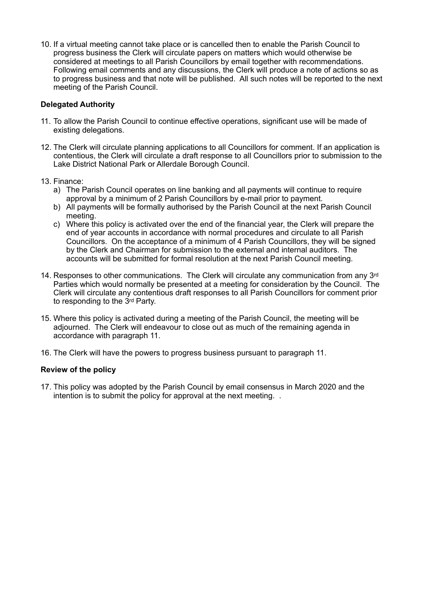10. If a virtual meeting cannot take place or is cancelled then to enable the Parish Council to progress business the Clerk will circulate papers on matters which would otherwise be considered at meetings to all Parish Councillors by email together with recommendations. Following email comments and any discussions, the Clerk will produce a note of actions so as to progress business and that note will be published. All such notes will be reported to the next meeting of the Parish Council.

## **Delegated Authority**

- 11. To allow the Parish Council to continue effective operations, significant use will be made of existing delegations.
- 12. The Clerk will circulate planning applications to all Councillors for comment. If an application is contentious, the Clerk will circulate a draft response to all Councillors prior to submission to the Lake District National Park or Allerdale Borough Council.
- 13. Finance:
	- a) The Parish Council operates on line banking and all payments will continue to require approval by a minimum of 2 Parish Councillors by e-mail prior to payment.
	- b) All payments will be formally authorised by the Parish Council at the next Parish Council meeting.
	- c) Where this policy is activated over the end of the financial year, the Clerk will prepare the end of year accounts in accordance with normal procedures and circulate to all Parish Councillors. On the acceptance of a minimum of 4 Parish Councillors, they will be signed by the Clerk and Chairman for submission to the external and internal auditors. The accounts will be submitted for formal resolution at the next Parish Council meeting.
- 14. Responses to other communications. The Clerk will circulate any communication from any 3<sup>rd</sup> Parties which would normally be presented at a meeting for consideration by the Council. The Clerk will circulate any contentious draft responses to all Parish Councillors for comment prior to responding to the 3rd Party.
- 15. Where this policy is activated during a meeting of the Parish Council, the meeting will be adjourned. The Clerk will endeavour to close out as much of the remaining agenda in accordance with paragraph 11.
- 16. The Clerk will have the powers to progress business pursuant to paragraph 11.

### **Review of the policy**

17. This policy was adopted by the Parish Council by email consensus in March 2020 and the intention is to submit the policy for approval at the next meeting. .